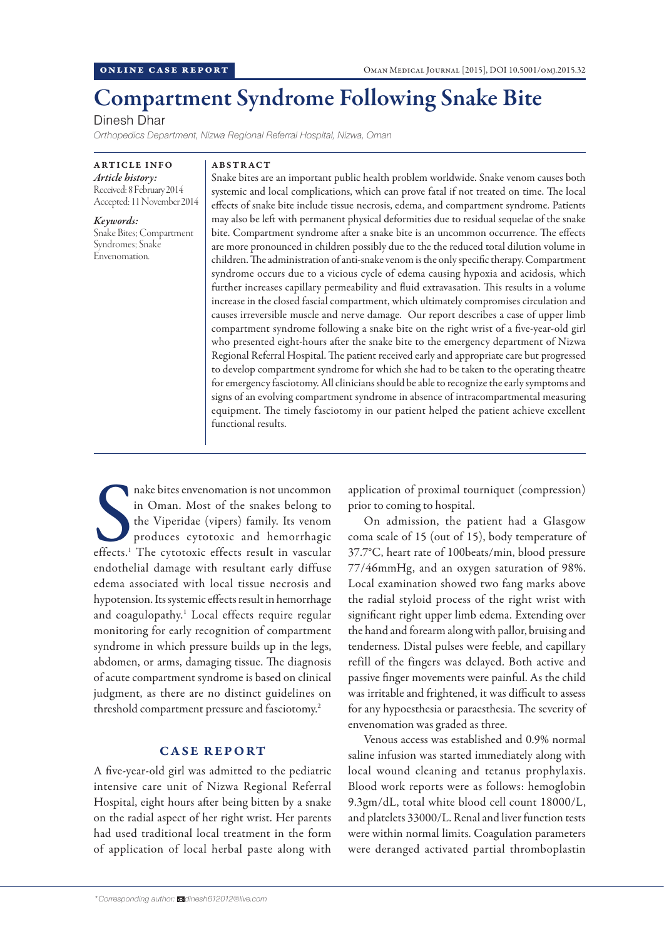# Compartment Syndrome Following Snake Bite

Dinesh Dhar

*Orthopedics Department, Nizwa Regional Referral Hospital, Nizwa, Oman*

ARTICLE INFO *Article history:*  Received: 8 February 2014 Accepted: 11 November 2014

*Keywords:*  Snake Bites; Compartment Syndromes; Snake Envenomation.

#### ABSTRACT

Snake bites are an important public health problem worldwide. Snake venom causes both systemic and local complications, which can prove fatal if not treated on time. The local effects of snake bite include tissue necrosis, edema, and compartment syndrome. Patients may also be left with permanent physical deformities due to residual sequelae of the snake bite. Compartment syndrome after a snake bite is an uncommon occurrence. The effects are more pronounced in children possibly due to the the reduced total dilution volume in children. The administration of anti-snake venom is the only specific therapy. Compartment syndrome occurs due to a vicious cycle of edema causing hypoxia and acidosis, which further increases capillary permeability and fluid extravasation. This results in a volume increase in the closed fascial compartment, which ultimately compromises circulation and causes irreversible muscle and nerve damage. Our report describes a case of upper limb compartment syndrome following a snake bite on the right wrist of a five-year-old girl who presented eight-hours after the snake bite to the emergency department of Nizwa Regional Referral Hospital. The patient received early and appropriate care but progressed to develop compartment syndrome for which she had to be taken to the operating theatre for emergency fasciotomy. All clinicians should be able to recognize the early symptoms and signs of an evolving compartment syndrome in absence of intracompartmental measuring equipment. The timely fasciotomy in our patient helped the patient achieve excellent functional results.

nake bites envenomation is not uncommon<br>in Oman. Most of the snakes belong to<br>the Viperidae (vipers) family. Its venom<br>produces cytotoxic and hemorrhagic<br>effects.<sup>1</sup> The cytotoxic effects result in vascular nake bites envenomation is not uncommon in Oman. Most of the snakes belong to the Viperidae (vipers) family. Its venom produces cytotoxic and hemorrhagic endothelial damage with resultant early diffuse edema associated with local tissue necrosis and hypotension. Its systemic effects result in hemorrhage and coagulopathy.<sup>1</sup> Local effects require regular monitoring for early recognition of compartment syndrome in which pressure builds up in the legs, abdomen, or arms, damaging tissue. The diagnosis of acute compartment syndrome is based on clinical judgment, as there are no distinct guidelines on threshold compartment pressure and fasciotomy.2

# CASE REPORT

A five-year-old girl was admitted to the pediatric intensive care unit of Nizwa Regional Referral Hospital, eight hours after being bitten by a snake on the radial aspect of her right wrist. Her parents had used traditional local treatment in the form of application of local herbal paste along with

application of proximal tourniquet (compression) prior to coming to hospital.

On admission, the patient had a Glasgow coma scale of 15 (out of 15), body temperature of 37.7°C, heart rate of 100beats/min, blood pressure 77/46mmHg, and an oxygen saturation of 98%. Local examination showed two fang marks above the radial styloid process of the right wrist with significant right upper limb edema. Extending over the hand and forearm along with pallor, bruising and tenderness. Distal pulses were feeble, and capillary refill of the fingers was delayed. Both active and passive finger movements were painful. As the child was irritable and frightened, it was difficult to assess for any hypoesthesia or paraesthesia. The severity of envenomation was graded as three.

Venous access was established and 0.9% normal saline infusion was started immediately along with local wound cleaning and tetanus prophylaxis. Blood work reports were as follows: hemoglobin 9.3gm/dL, total white blood cell count 18000/L, and platelets 33000/L. Renal and liver function tests were within normal limits. Coagulation parameters were deranged activated partial thromboplastin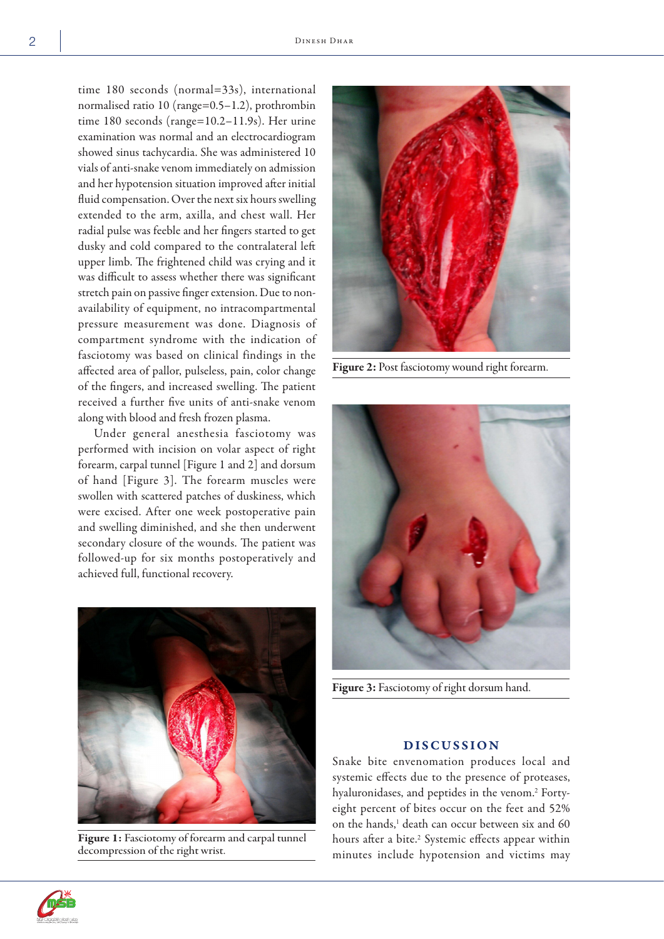time 180 seconds (normal=33s), international normalised ratio 10 (range=0.5–1.2), prothrombin time 180 seconds (range=10.2–11.9s). Her urine examination was normal and an electrocardiogram showed sinus tachycardia. She was administered 10 vials of anti-snake venom immediately on admission and her hypotension situation improved after initial fluid compensation. Over the next six hours swelling extended to the arm, axilla, and chest wall. Her radial pulse was feeble and her fingers started to get dusky and cold compared to the contralateral left upper limb. The frightened child was crying and it was difficult to assess whether there was significant stretch pain on passive finger extension. Due to nonavailability of equipment, no intracompartmental pressure measurement was done. Diagnosis of compartment syndrome with the indication of fasciotomy was based on clinical findings in the affected area of pallor, pulseless, pain, color change of the fingers, and increased swelling. The patient received a further five units of anti-snake venom along with blood and fresh frozen plasma.

Under general anesthesia fasciotomy was performed with incision on volar aspect of right forearm, carpal tunnel [Figure 1 and 2] and dorsum of hand [Figure 3]. The forearm muscles were swollen with scattered patches of duskiness, which were excised. After one week postoperative pain and swelling diminished, and she then underwent secondary closure of the wounds. The patient was followed-up for six months postoperatively and achieved full, functional recovery.



Figure 1: Fasciotomy of forearm and carpal tunnel decompression of the right wrist.



Figure 2: Post fasciotomy wound right forearm.



Figure 3: Fasciotomy of right dorsum hand.

## DISCUSSION

Snake bite envenomation produces local and systemic effects due to the presence of proteases, hyaluronidases, and peptides in the venom.<sup>2</sup> Fortyeight percent of bites occur on the feet and 52% on the hands,<sup>1</sup> death can occur between six and 60 hours after a bite.<sup>2</sup> Systemic effects appear within minutes include hypotension and victims may